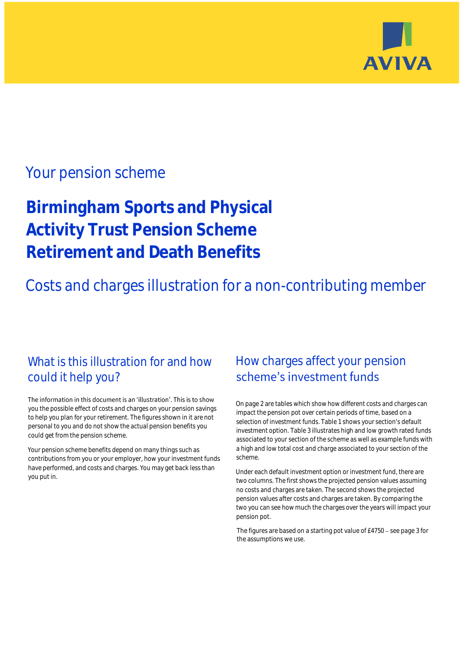

## Your pension scheme

# **Birmingham Sports and Physical Activity Trust Pension Scheme Retirement and Death Benefits**

Costs and charges illustration for a non-contributing member

### What is this illustration for and how could it help you?

#### The information in this document is an 'illustration'. This is to show you the possible effect of costs and charges on your pension savings to help you plan for your retirement. The figures shown in it are not personal to you and do not show the actual pension benefits you could get from the pension scheme.

Your pension scheme benefits depend on many things such as contributions from you or your employer, how your investment funds have performed, and costs and charges. You may get back less than you put in.

### How charges affect your pension scheme's investment funds

On page 2 are tables which show how different costs and charges can impact the pension pot over certain periods of time, based on a selection of investment funds. Table 1 shows your section's default investment option. Table 3 illustrates high and low growth rated funds associated to your section of the scheme as well as example funds with a high and low total cost and charge associated to your section of the scheme.

Under each default investment option or investment fund, there are two columns. The first shows the projected pension values assuming no costs and charges are taken. The second shows the projected pension values after costs and charges are taken. By comparing the two you can see how much the charges over the years will impact your pension pot.

The figures are based on a starting pot value of  $£4750 -$  see page 3 for the assumptions we use.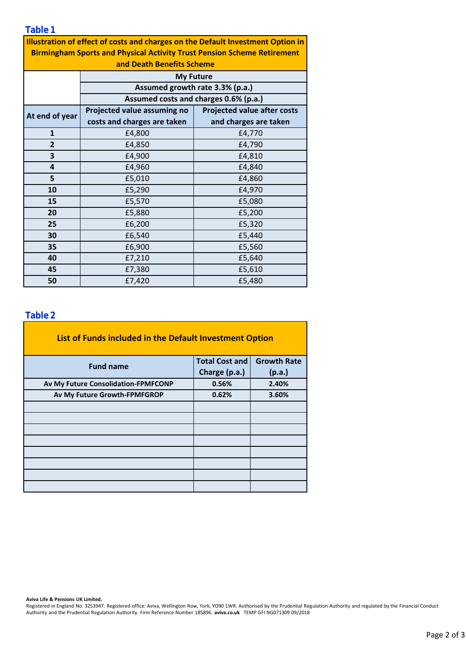**Table 1**

**Illustration of effect of costs and charges on the Default Investment Option in Birmingham Sports and Physical Activity Trust Pension Scheme Retirement** 

| and Death Benefits Scheme |                                                                          |                                    |  |  |  |  |  |
|---------------------------|--------------------------------------------------------------------------|------------------------------------|--|--|--|--|--|
|                           | <b>My Future</b>                                                         |                                    |  |  |  |  |  |
|                           | Assumed growth rate 3.3% (p.a.)<br>Assumed costs and charges 0.6% (p.a.) |                                    |  |  |  |  |  |
|                           |                                                                          |                                    |  |  |  |  |  |
| At end of year            | Projected value assuming no                                              | <b>Projected value after costs</b> |  |  |  |  |  |
|                           | costs and charges are taken                                              | and charges are taken              |  |  |  |  |  |
| 1                         | £4,800                                                                   | £4,770                             |  |  |  |  |  |
| 2                         | £4,850                                                                   | £4,790                             |  |  |  |  |  |
| 3                         | £4,900                                                                   | £4,810                             |  |  |  |  |  |
| 4                         | £4,960                                                                   | £4,840                             |  |  |  |  |  |
| 5                         | £5,010                                                                   | £4,860                             |  |  |  |  |  |
| 10                        | £5,290                                                                   | £4,970                             |  |  |  |  |  |
| 15                        | £5,570                                                                   | £5,080                             |  |  |  |  |  |
| 20                        | £5,880                                                                   | £5,200                             |  |  |  |  |  |
| 25                        | £6,200                                                                   | £5,320                             |  |  |  |  |  |
| 30                        | £6,540                                                                   | £5,440                             |  |  |  |  |  |
| 35                        | £6,900                                                                   | £5,560                             |  |  |  |  |  |
| 40                        | £7,210<br>£5,640                                                         |                                    |  |  |  |  |  |
| 45                        | £7,380                                                                   | £5,610                             |  |  |  |  |  |
| 50                        | £7,420                                                                   | £5,480                             |  |  |  |  |  |
|                           |                                                                          |                                    |  |  |  |  |  |

### **Table 2**

| List of Funds included in the Default Investment Option |                       |                    |  |  |  |  |  |
|---------------------------------------------------------|-----------------------|--------------------|--|--|--|--|--|
| <b>Fund name</b>                                        | <b>Total Cost and</b> | <b>Growth Rate</b> |  |  |  |  |  |
|                                                         | Charge (p.a.)         | (p.a.)             |  |  |  |  |  |
| Av My Future Consolidation-FPMFCONP                     | 0.56%                 | 2.40%              |  |  |  |  |  |
| Av My Future Growth-FPMFGROP                            | 0.62%                 | 3.60%              |  |  |  |  |  |
|                                                         |                       |                    |  |  |  |  |  |
|                                                         |                       |                    |  |  |  |  |  |
|                                                         |                       |                    |  |  |  |  |  |
|                                                         |                       |                    |  |  |  |  |  |
|                                                         |                       |                    |  |  |  |  |  |
|                                                         |                       |                    |  |  |  |  |  |
|                                                         |                       |                    |  |  |  |  |  |
|                                                         |                       |                    |  |  |  |  |  |

**Aviva Life & Pensions UK Limited.**

Registered in England No. 3253947. Registered office: Aviva, Wellington Row, York, YO90 1WR. Authorised by the Prudential Regulation Authority and regulated by the Financial Conduct Authority and the Prudential Regulation Authority. Firm Reference Number 185896. **aviva.co.uk** TEMP GFI NG071309 09/2018